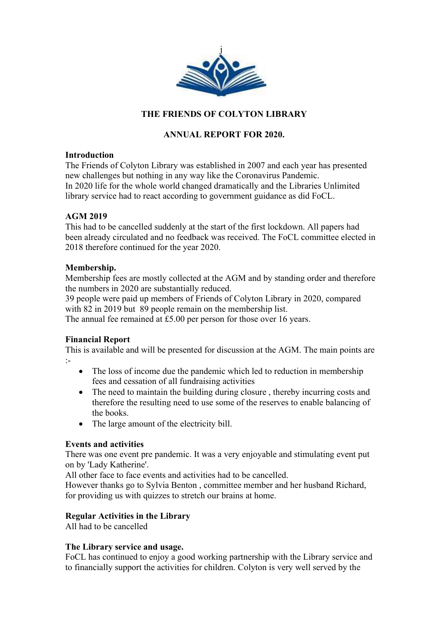

# THE FRIENDS OF COLYTON LIBRARY

## ANNUAL REPORT FOR 2020.

## **Introduction**

The Friends of Colyton Library was established in 2007 and each year has presented new challenges but nothing in any way like the Coronavirus Pandemic. In 2020 life for the whole world changed dramatically and the Libraries Unlimited library service had to react according to government guidance as did FoCL.

## AGM 2019

This had to be cancelled suddenly at the start of the first lockdown. All papers had been already circulated and no feedback was received. The FoCL committee elected in 2018 therefore continued for the year 2020.

## Membership.

Membership fees are mostly collected at the AGM and by standing order and therefore the numbers in 2020 are substantially reduced.

39 people were paid up members of Friends of Colyton Library in 2020, compared with 82 in 2019 but 89 people remain on the membership list.

The annual fee remained at £5.00 per person for those over 16 years.

## Financial Report

This is available and will be presented for discussion at the AGM. The main points are :-

- The loss of income due the pandemic which led to reduction in membership fees and cessation of all fundraising activities
- The need to maintain the building during closure, thereby incurring costs and therefore the resulting need to use some of the reserves to enable balancing of the books.
- The large amount of the electricity bill.

## Events and activities

There was one event pre pandemic. It was a very enjoyable and stimulating event put on by 'Lady Katherine'.

All other face to face events and activities had to be cancelled.

However thanks go to Sylvia Benton , committee member and her husband Richard, for providing us with quizzes to stretch our brains at home.

## Regular Activities in the Library

All had to be cancelled

#### The Library service and usage.

FoCL has continued to enjoy a good working partnership with the Library service and to financially support the activities for children. Colyton is very well served by the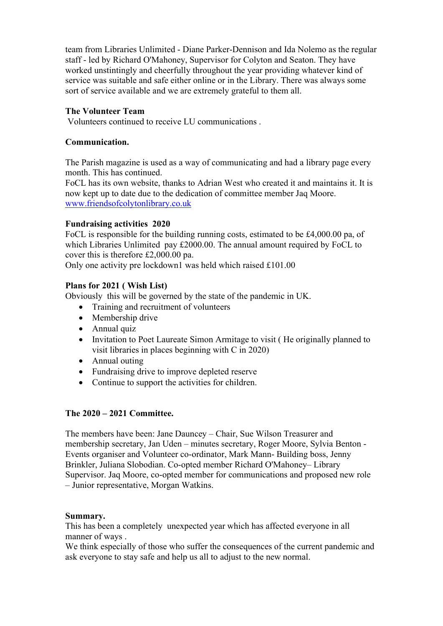team from Libraries Unlimited - Diane Parker-Dennison and Ida Nolemo as the regular staff - led by Richard O'Mahoney, Supervisor for Colyton and Seaton. They have worked unstintingly and cheerfully throughout the year providing whatever kind of service was suitable and safe either online or in the Library. There was always some sort of service available and we are extremely grateful to them all.

## The Volunteer Team

Volunteers continued to receive LU communications .

## Communication.

The Parish magazine is used as a way of communicating and had a library page every month. This has continued.

FoCL has its own website, thanks to Adrian West who created it and maintains it. It is now kept up to date due to the dedication of committee member Jaq Moore. www.friendsofcolytonlibrary.co.uk

## Fundraising activities 2020

FoCL is responsible for the building running costs, estimated to be £4,000.00 pa, of which Libraries Unlimited pay £2000.00. The annual amount required by FoCL to cover this is therefore £2,000.00 pa.

Only one activity pre lockdown1 was held which raised £101.00

## Plans for 2021 ( Wish List)

Obviously this will be governed by the state of the pandemic in UK.

- Training and recruitment of volunteers
- Membership drive
- Annual quiz
- Invitation to Poet Laureate Simon Armitage to visit (He originally planned to visit libraries in places beginning with C in 2020)
- Annual outing
- Fundraising drive to improve depleted reserve
- Continue to support the activities for children.

#### The 2020 – 2021 Committee.

The members have been: Jane Dauncey – Chair, Sue Wilson Treasurer and membership secretary, Jan Uden – minutes secretary, Roger Moore, Sylvia Benton - Events organiser and Volunteer co-ordinator, Mark Mann- Building boss, Jenny Brinkler, Juliana Slobodian. Co-opted member Richard O'Mahoney– Library Supervisor. Jaq Moore, co-opted member for communications and proposed new role – Junior representative, Morgan Watkins.

#### Summary.

This has been a completely unexpected year which has affected everyone in all manner of ways .

We think especially of those who suffer the consequences of the current pandemic and ask everyone to stay safe and help us all to adjust to the new normal.